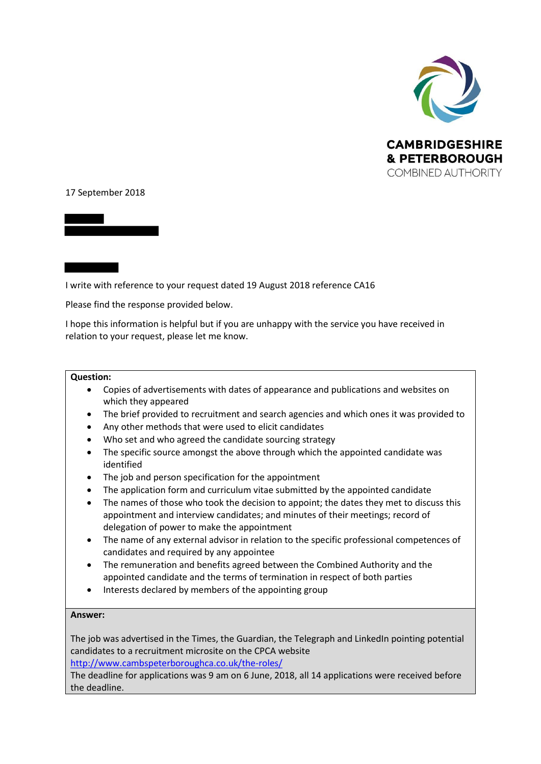

## 17 September 2018

I write with reference to your request dated 19 August 2018 reference CA16

Please find the response provided below.

I hope this information is helpful but if you are unhappy with the service you have received in relation to your request, please let me know.

## **Question:**

- Copies of advertisements with dates of appearance and publications and websites on which they appeared
- The brief provided to recruitment and search agencies and which ones it was provided to
- Any other methods that were used to elicit candidates
- Who set and who agreed the candidate sourcing strategy
- The specific source amongst the above through which the appointed candidate was identified
- The job and person specification for the appointment
- The application form and curriculum vitae submitted by the appointed candidate
- The names of those who took the decision to appoint; the dates they met to discuss this appointment and interview candidates; and minutes of their meetings; record of delegation of power to make the appointment
- The name of any external advisor in relation to the specific professional competences of candidates and required by any appointee
- The remuneration and benefits agreed between the Combined Authority and the appointed candidate and the terms of termination in respect of both parties
- Interests declared by members of the appointing group

## **Answer:**

The job was advertised in the Times, the Guardian, the Telegraph and LinkedIn pointing potential candidates to a recruitment microsite on the CPCA website <http://www.cambspeterboroughca.co.uk/the-roles/>

The deadline for applications was 9 am on 6 June, 2018, all 14 applications were received before the deadline.